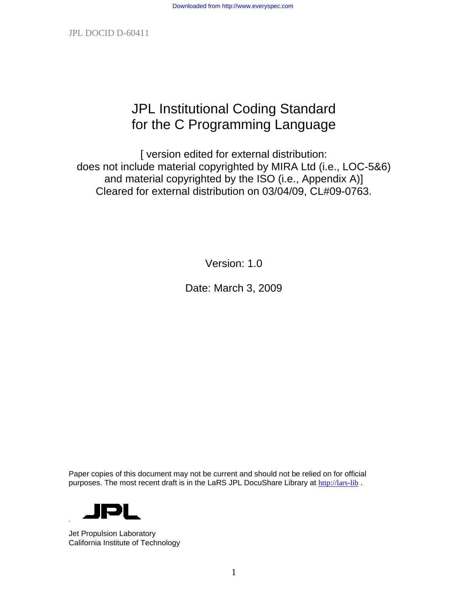# JPL Institutional Coding Standard for the C Programming Language

[ version edited for external distribution: does not include material copyrighted by MIRA Ltd (i.e., LOC-5&6) and material copyrighted by the ISO (i.e., Appendix A)] Cleared for external distribution on 03/04/09, CL#09-0763.

Version: 1.0

Date: March 3, 2009

Paper copies of this document may not be current and should not be relied on for official purposes. The most recent draft is in the LaRS JPL DocuShare Library at [http://lars-lib](http://lars-lib/).



Jet Propulsion Laboratory California Institute of Technology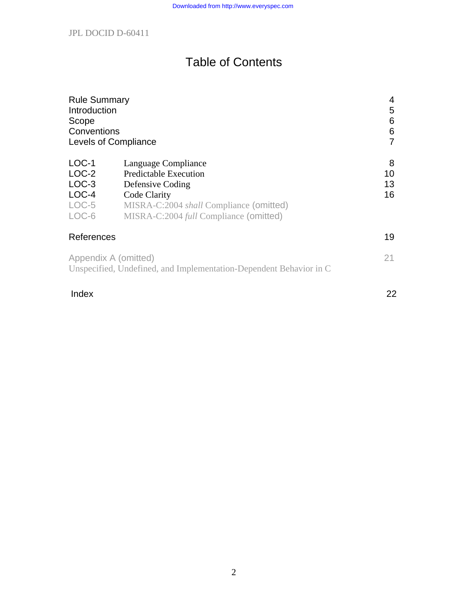# Table of Contents

| <b>Rule Summary</b>  |                                                                    | 4  |
|----------------------|--------------------------------------------------------------------|----|
| Introduction         |                                                                    | 5  |
| Scope                |                                                                    | 6  |
| Conventions          |                                                                    | 6  |
| Levels of Compliance |                                                                    | 7  |
| $LOC-1$              | Language Compliance                                                | 8  |
| $LOC-2$              | <b>Predictable Execution</b>                                       | 10 |
| $LOC-3$              | Defensive Coding                                                   | 13 |
| $LOC-4$              | Code Clarity                                                       | 16 |
| $LOC-5$              | MISRA-C:2004 <i>shall</i> Compliance (omitted)                     |    |
| LOC-6                | MISRA-C:2004 <i>full</i> Compliance (omitted)                      |    |
| References           |                                                                    | 19 |
| Appendix A (omitted) | Unspecified, Undefined, and Implementation-Dependent Behavior in C | 21 |

# Index 22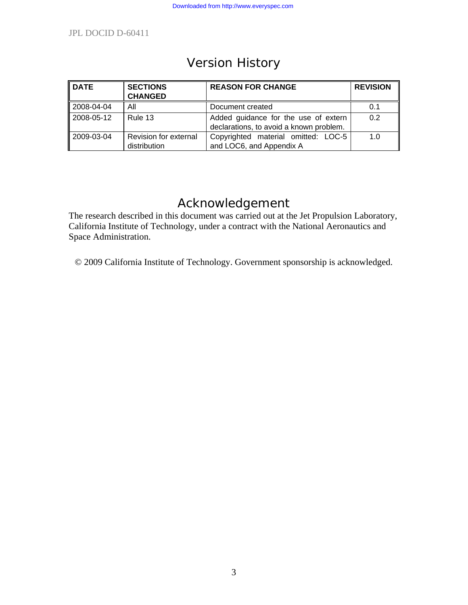# Version History

| <b>DATE</b> | <b>SECTIONS</b><br><b>CHANGED</b>     | <b>REASON FOR CHANGE</b>                                                        | <b>REVISION</b> |
|-------------|---------------------------------------|---------------------------------------------------------------------------------|-----------------|
| 2008-04-04  | All                                   | Document created                                                                | 0.1             |
| 2008-05-12  | Rule 13                               | Added guidance for the use of extern<br>declarations, to avoid a known problem. | 0.2             |
| 2009-03-04  | Revision for external<br>distribution | Copyrighted material omitted: LOC-5<br>and LOC6, and Appendix A                 | 1.0             |

# Acknowledgement

The research described in this document was carried out at the Jet Propulsion Laboratory, California Institute of Technology, under a contract with the National Aeronautics and Space Administration.

© 2009 California Institute of Technology. Government sponsorship is acknowledged.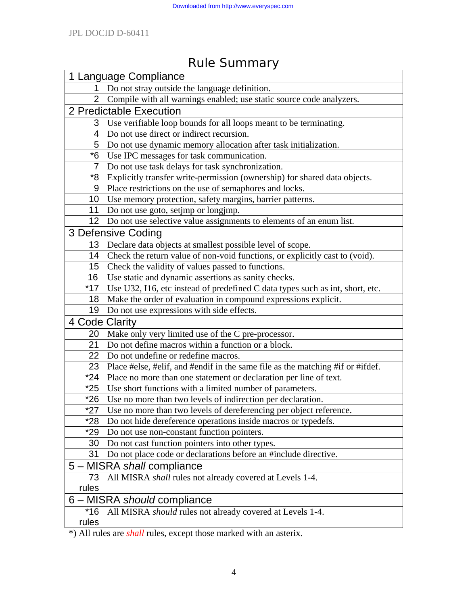# 1 Language Compliance 1 Do not stray outside the language definition. 2 Compile with all warnings enabled; use static source code analyzers. 2 Predictable Execution 3 Use verifiable loop bounds for all loops meant to be terminating. 4 Do not use direct or indirect recursion. 5 Do not use dynamic memory allocation after task initialization. \*6 Use IPC messages for task communication. 7 Do not use task delays for task synchronization. \*8 Explicitly transfer write-permission (ownership) for shared data objects. 9 Place restrictions on the use of semaphores and locks. 10 Use memory protection, safety margins, barrier patterns. 11 | Do not use goto, setjmp or longjmp. 12 Do not use selective value assignments to elements of an enum list. 3 Defensive Coding 13 Declare data objects at smallest possible level of scope. 14 Check the return value of non-void functions, or explicitly cast to (void). 15 Check the validity of values passed to functions. 16 Use static and dynamic assertions as sanity checks. \*17 Use U32, I16, etc instead of predefined C data types such as int, short, etc. 18 Make the order of evaluation in compound expressions explicit. 19 Do not use expressions with side effects. 4 Code Clarity 20 Make only very limited use of the C pre-processor. 21 Do not define macros within a function or a block. 22 Do not undefine or redefine macros. 23 Place #else, #elif, and #endif in the same file as the matching #if or #ifdef. \*24 Place no more than one statement or declaration per line of text. \*25 Use short functions with a limited number of parameters. \*26 Use no more than two levels of indirection per declaration. \*27 Use no more than two levels of dereferencing per object reference. \*28 Do not hide dereference operations inside macros or typedefs. \*29 Do not use non-constant function pointers. 30 Do not cast function pointers into other types. 31 Do not place code or declarations before an #include directive. 5 – MISRA *shall* compliance 73 All MISRA *shall* rules not already covered at Levels 1-4. rules 6 – MISRA *should* compliance \*16 rules All MISRA *should* rules not already covered at Levels 1-4.

# Rule Summary

\*) All rules are *shall* rules, except those marked with an asterix.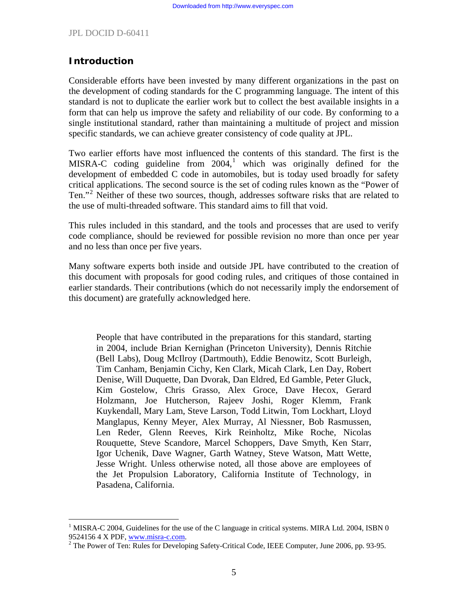#### **Introduction**

 $\overline{a}$ 

Considerable efforts have been invested by many different organizations in the past on the development of coding standards for the C programming language. The intent of this standard is not to duplicate the earlier work but to collect the best available insights in a form that can help us improve the safety and reliability of our code. By conforming to a single institutional standard, rather than maintaining a multitude of project and mission specific standards, we can achieve greater consistency of code quality at JPL.

Two earlier efforts have most influenced the contents of this standard. The first is the MISRA-C coding guideline from  $2004$ ,<sup>[1](#page-4-0)</sup> which was originally defined for the development of embedded C code in automobiles, but is today used broadly for safety critical applications. The second source is the set of coding rules known as the "Power of Ten."<sup>[2](#page-4-1)</sup> Neither of these two sources, though, addresses software risks that are related to the use of multi-threaded software. This standard aims to fill that void.

This rules included in this standard, and the tools and processes that are used to verify code compliance, should be reviewed for possible revision no more than once per year and no less than once per five years.

Many software experts both inside and outside JPL have contributed to the creation of this document with proposals for good coding rules, and critiques of those contained in earlier standards. Their contributions (which do not necessarily imply the endorsement of this document) are gratefully acknowledged here.

People that have contributed in the preparations for this standard, starting in 2004, include Brian Kernighan (Princeton University), Dennis Ritchie (Bell Labs), Doug McIlroy (Dartmouth), Eddie Benowitz, Scott Burleigh, Tim Canham, Benjamin Cichy, Ken Clark, Micah Clark, Len Day, Robert Denise, Will Duquette, Dan Dvorak, Dan Eldred, Ed Gamble, Peter Gluck, Kim Gostelow, Chris Grasso, Alex Groce, Dave Hecox, Gerard Holzmann, Joe Hutcherson, Rajeev Joshi, Roger Klemm, Frank Kuykendall, Mary Lam, Steve Larson, Todd Litwin, Tom Lockhart, Lloyd Manglapus, Kenny Meyer, Alex Murray, Al Niessner, Bob Rasmussen, Len Reder, Glenn Reeves, Kirk Reinholtz, Mike Roche, Nicolas Rouquette, Steve Scandore, Marcel Schoppers, Dave Smyth, Ken Starr, Igor Uchenik, Dave Wagner, Garth Watney, Steve Watson, Matt Wette, Jesse Wright. Unless otherwise noted, all those above are employees of the Jet Propulsion Laboratory, California Institute of Technology, in Pasadena, California.

<span id="page-4-0"></span> $1$  MISRA-C 2004, Guidelines for the use of the C language in critical systems. MIRA Ltd. 2004, ISBN 0 9524156 4 X PDF, [www.misra-c.com.](http://www.misra-c.com/)

<span id="page-4-1"></span><sup>&</sup>lt;sup>2</sup> The Power of Ten: Rules for Developing Safety-Critical Code, IEEE Computer, June 2006, pp. 93-95.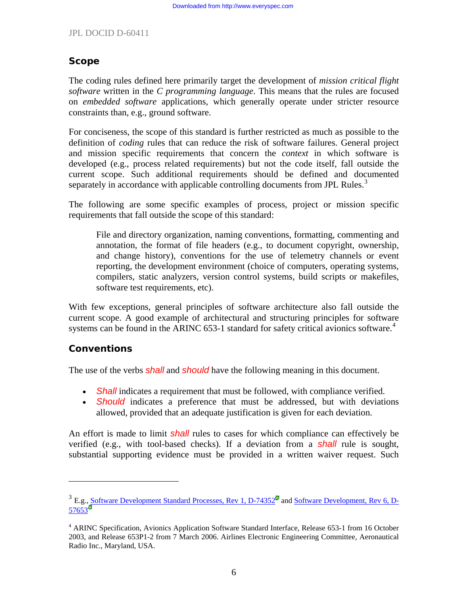# **Scope**

The coding rules defined here primarily target the development of *mission critical flight software* written in the *C programming language*. This means that the rules are focused on *embedded software* applications, which generally operate under stricter resource constraints than, e.g., ground software.

For conciseness, the scope of this standard is further restricted as much as possible to the definition of *coding* rules that can reduce the risk of software failures. General project and mission specific requirements that concern the *context* in which software is developed (e.g., process related requirements) but not the code itself, fall outside the current scope. Such additional requirements should be defined and documented separately in accordance with applicable controlling documents from JPL Rules.<sup>[3](#page-5-0)</sup>

The following are some specific examples of process, project or mission specific requirements that fall outside the scope of this standard:

File and directory organization, naming conventions, formatting, commenting and annotation, the format of file headers (e.g., to document copyright, ownership, and change history), conventions for the use of telemetry channels or event reporting, the development environment (choice of computers, operating systems, compilers, static analyzers, version control systems, build scripts or makefiles, software test requirements, etc).

With few exceptions, general principles of software architecture also fall outside the current scope. A good example of architectural and structuring principles for software systems can be found in the ARINC 653-1 standard for safety critical avionics software.<sup>[4](#page-5-1)</sup>

## **Conventions**

 $\overline{a}$ 

The use of the verbs *shall* and *should* have the following meaning in this document.

- *Shall* indicates a requirement that must be followed, with compliance verified.
- *Should* indicates a preference that must be addressed, but with deviations allowed, provided that an adequate justification is given for each deviation.

An effort is made to limit *shall* rules to cases for which compliance can effectively be verified (e.g., with tool-based checks). If a deviation from a *shall* rule is sought, substantial supporting evidence must be provided in a written waiver request. Such

<span id="page-5-0"></span><sup>&</sup>lt;sup>3</sup> E.g., Software Development Standard Processes, Rev 1, D-74352<sup>2</sup> and [Software Development, Rev 6, D-](http://rules.jpl.nasa.gov/cgi/doc-gw.pl?DocID=57653) $57653$ 

<span id="page-5-1"></span><sup>&</sup>lt;sup>4</sup> ARINC Specification, Avionics Application Software Standard Interface, Release 653-1 from 16 October 2003, and Release 653P1-2 from 7 March 2006. Airlines Electronic Engineering Committee, Aeronautical Radio Inc., Maryland, USA.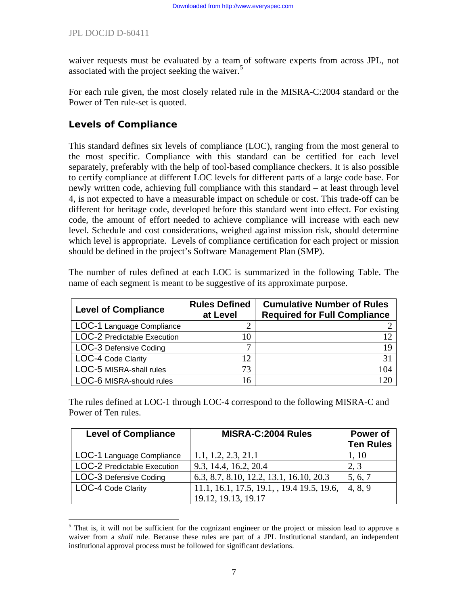waiver requests must be evaluated by a team of software experts from across JPL, not associated with the project seeking the waiver.<sup>[5](#page-6-0)</sup>

For each rule given, the most closely related rule in the MISRA-C:2004 standard or the Power of Ten rule-set is quoted.

# **Levels of Compliance**

This standard defines six levels of compliance (LOC), ranging from the most general to the most specific. Compliance with this standard can be certified for each level separately, preferably with the help of tool-based compliance checkers. It is also possible to certify compliance at different LOC levels for different parts of a large code base. For newly written code, achieving full compliance with this standard – at least through level 4, is not expected to have a measurable impact on schedule or cost. This trade-off can be different for heritage code, developed before this standard went into effect. For existing code, the amount of effort needed to achieve compliance will increase with each new level. Schedule and cost considerations, weighed against mission risk, should determine which level is appropriate. Levels of compliance certification for each project or mission should be defined in the project's Software Management Plan (SMP).

The number of rules defined at each LOC is summarized in the following Table. The name of each segment is meant to be suggestive of its approximate purpose.

| <b>Level of Compliance</b>  | <b>Rules Defined</b><br>at Level | <b>Cumulative Number of Rules</b><br><b>Required for Full Compliance</b> |
|-----------------------------|----------------------------------|--------------------------------------------------------------------------|
| LOC-1 Language Compliance   |                                  |                                                                          |
| LOC-2 Predictable Execution | 10                               |                                                                          |
| LOC-3 Defensive Coding      |                                  | 19                                                                       |
| LOC-4 Code Clarity          | 12                               | 31                                                                       |
| LOC-5 MISRA-shall rules     | 73                               | 104                                                                      |
| LOC-6 MISRA-should rules    | 16                               |                                                                          |

The rules defined at LOC-1 through LOC-4 correspond to the following MISRA-C and Power of Ten rules.

| <b>Level of Compliance</b>         | <b>MISRA-C:2004 Rules</b>                  | Power of<br><b>Ten Rules</b> |
|------------------------------------|--------------------------------------------|------------------------------|
| LOC-1 Language Compliance          | 1.1, 1.2, 2.3, 21.1                        | 1, 10                        |
| <b>LOC-2 Predictable Execution</b> | 9.3, 14.4, 16.2, 20.4                      | 2, 3                         |
| LOC-3 Defensive Coding             | 6.3, 8.7, 8.10, 12.2, 13.1, 16.10, 20.3    | 5, 6, 7                      |
| LOC-4 Code Clarity                 | 11.1, 16.1, 17.5, 19.1, , 19.4 19.5, 19.6, | 4, 8, 9                      |
|                                    | 19.12, 19.13, 19.17                        |                              |

<span id="page-6-0"></span> $\overline{a}$ <sup>5</sup> That is, it will not be sufficient for the cognizant engineer or the project or mission lead to approve a waiver from a *shall* rule. Because these rules are part of a JPL Institutional standard, an independent institutional approval process must be followed for significant deviations.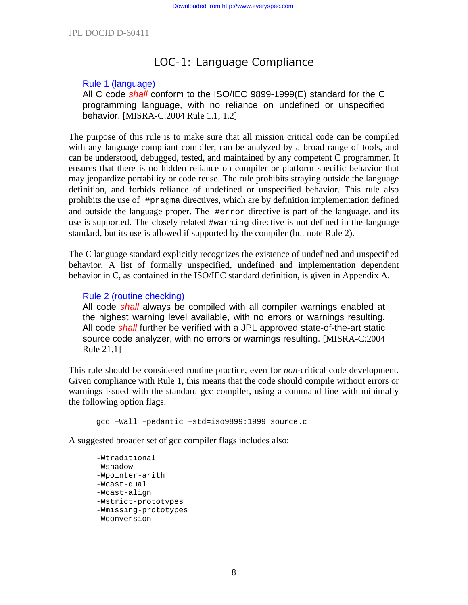# LOC-1: Language Compliance

#### Rule 1 (language)

All C code *shall* conform to the ISO/IEC 9899-1999(E) standard for the C programming language, with no reliance on undefined or unspecified behavior. [MISRA-C:2004 Rule 1.1, 1.2]

The purpose of this rule is to make sure that all mission critical code can be compiled with any language compliant compiler, can be analyzed by a broad range of tools, and can be understood, debugged, tested, and maintained by any competent C programmer. It ensures that there is no hidden reliance on compiler or platform specific behavior that may jeopardize portability or code reuse. The rule prohibits straying outside the language definition, and forbids reliance of undefined or unspecified behavior. This rule also prohibits the use of #pragma directives, which are by definition implementation defined and outside the language proper. The #error directive is part of the language, and its use is supported. The closely related #warning directive is not defined in the language standard, but its use is allowed if supported by the compiler (but note Rule 2).

The C language standard explicitly recognizes the existence of undefined and unspecified behavior. A list of formally unspecified, undefined and implementation dependent behavior in C, as contained in the ISO/IEC standard definition, is given in Appendix A.

#### Rule 2 (routine checking)

All code *shall* always be compiled with all compiler warnings enabled at the highest warning level available, with no errors or warnings resulting. All code *shall* further be verified with a JPL approved state-of-the-art static source code analyzer, with no errors or warnings resulting. [MISRA-C:2004 Rule 21.1]

This rule should be considered routine practice, even for *non*-critical code development. Given compliance with Rule 1, this means that the code should compile without errors or warnings issued with the standard gcc compiler, using a command line with minimally the following option flags:

gcc –Wall –pedantic –std=iso9899:1999 source.c

A suggested broader set of gcc compiler flags includes also:

```
-Wtraditional 
-Wshadow 
-Wpointer-arith 
-Wcast-qual 
-Wcast-align 
-Wstrict-prototypes 
-Wmissing-prototypes 
-Wconversion
```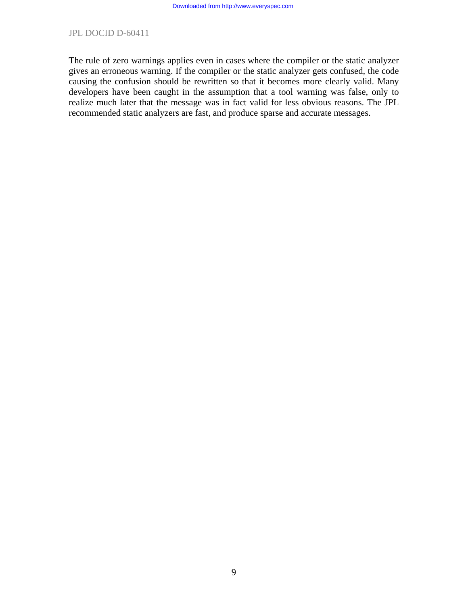The rule of zero warnings applies even in cases where the compiler or the static analyzer gives an erroneous warning. If the compiler or the static analyzer gets confused, the code causing the confusion should be rewritten so that it becomes more clearly valid. Many developers have been caught in the assumption that a tool warning was false, only to realize much later that the message was in fact valid for less obvious reasons. The JPL recommended static analyzers are fast, and produce sparse and accurate messages.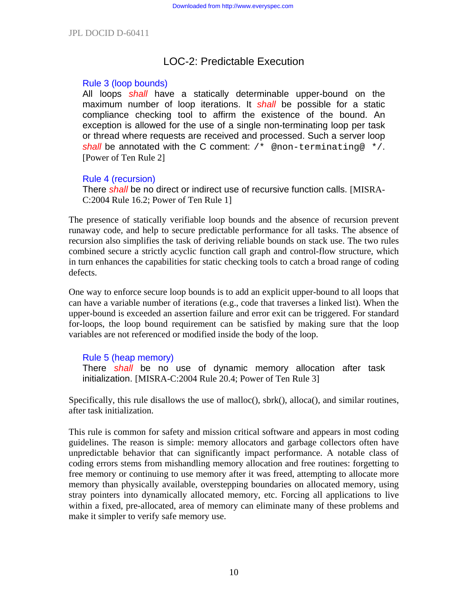# LOC-2: Predictable Execution

#### Rule 3 (loop bounds)

All loops *shall* have a statically determinable upper-bound on the maximum number of loop iterations. It *shall* be possible for a static compliance checking tool to affirm the existence of the bound. An exception is allowed for the use of a single non-terminating loop per task or thread where requests are received and processed. Such a server loop **shall** be annotated with the C comment: /\* @non-terminating@ \*/. [Power of Ten Rule 2]

#### Rule 4 (recursion)

There *shall* be no direct or indirect use of recursive function calls. [MISRA-C:2004 Rule 16.2; Power of Ten Rule 1]

The presence of statically verifiable loop bounds and the absence of recursion prevent runaway code, and help to secure predictable performance for all tasks. The absence of recursion also simplifies the task of deriving reliable bounds on stack use. The two rules combined secure a strictly acyclic function call graph and control-flow structure, which in turn enhances the capabilities for static checking tools to catch a broad range of coding defects.

One way to enforce secure loop bounds is to add an explicit upper-bound to all loops that can have a variable number of iterations (e.g., code that traverses a linked list). When the upper-bound is exceeded an assertion failure and error exit can be triggered. For standard for-loops, the loop bound requirement can be satisfied by making sure that the loop variables are not referenced or modified inside the body of the loop.

#### Rule 5 (heap memory)

There *shall* be no use of dynamic memory allocation after task initialization. [MISRA-C:2004 Rule 20.4; Power of Ten Rule 3]

Specifically, this rule disallows the use of malloc(), sbrk(), alloca(), and similar routines, after task initialization.

This rule is common for safety and mission critical software and appears in most coding guidelines. The reason is simple: memory allocators and garbage collectors often have unpredictable behavior that can significantly impact performance. A notable class of coding errors stems from mishandling memory allocation and free routines: forgetting to free memory or continuing to use memory after it was freed, attempting to allocate more memory than physically available, overstepping boundaries on allocated memory, using stray pointers into dynamically allocated memory, etc. Forcing all applications to live within a fixed, pre-allocated, area of memory can eliminate many of these problems and make it simpler to verify safe memory use.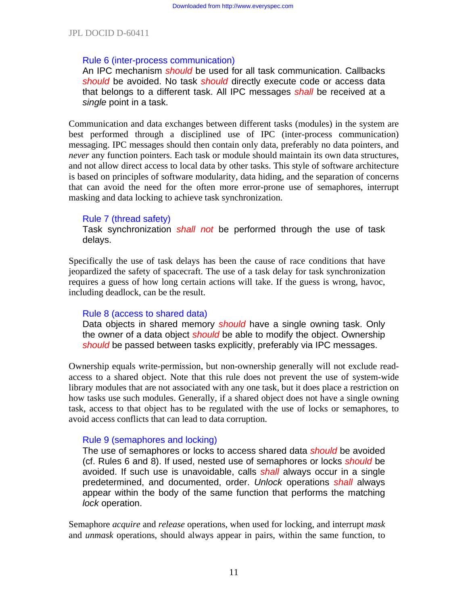#### Rule 6 (inter-process communication)

An IPC mechanism *should* be used for all task communication. Callbacks *should* be avoided. No task *should* directly execute code or access data that belongs to a different task. All IPC messages *shall* be received at a *single* point in a task.

Communication and data exchanges between different tasks (modules) in the system are best performed through a disciplined use of IPC (inter-process communication) messaging. IPC messages should then contain only data, preferably no data pointers, and *never* any function pointers. Each task or module should maintain its own data structures, and not allow direct access to local data by other tasks. This style of software architecture is based on principles of software modularity, data hiding, and the separation of concerns that can avoid the need for the often more error-prone use of semaphores, interrupt masking and data locking to achieve task synchronization.

#### Rule 7 (thread safety)

Task synchronization *shall not* be performed through the use of task delays.

Specifically the use of task delays has been the cause of race conditions that have jeopardized the safety of spacecraft. The use of a task delay for task synchronization requires a guess of how long certain actions will take. If the guess is wrong, havoc, including deadlock, can be the result.

#### Rule 8 (access to shared data)

Data objects in shared memory *should* have a single owning task. Only the owner of a data object *should* be able to modify the object. Ownership *should* be passed between tasks explicitly, preferably via IPC messages.

Ownership equals write-permission, but non-ownership generally will not exclude readaccess to a shared object. Note that this rule does not prevent the use of system-wide library modules that are not associated with any one task, but it does place a restriction on how tasks use such modules. Generally, if a shared object does not have a single owning task, access to that object has to be regulated with the use of locks or semaphores, to avoid access conflicts that can lead to data corruption.

#### Rule 9 (semaphores and locking)

The use of semaphores or locks to access shared data *should* be avoided (cf. Rules 6 and 8). If used, nested use of semaphores or locks *should* be avoided. If such use is unavoidable, calls *shall* always occur in a single predetermined, and documented, order. *Unlock* operations *shall* always appear within the body of the same function that performs the matching *lock* operation.

Semaphore *acquire* and *release* operations, when used for locking, and interrupt *mask* and *unmask* operations, should always appear in pairs, within the same function, to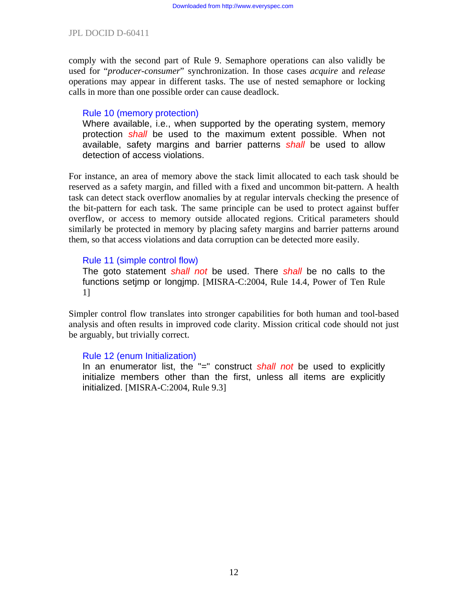comply with the second part of Rule 9. Semaphore operations can also validly be used for "*producer-consumer*" synchronization. In those cases *acquire* and *release* operations may appear in different tasks. The use of nested semaphore or locking calls in more than one possible order can cause deadlock.

#### Rule 10 (memory protection)

Where available, i.e., when supported by the operating system, memory protection *shall* be used to the maximum extent possible. When not available, safety margins and barrier patterns *shall* be used to allow detection of access violations.

For instance, an area of memory above the stack limit allocated to each task should be reserved as a safety margin, and filled with a fixed and uncommon bit-pattern. A health task can detect stack overflow anomalies by at regular intervals checking the presence of the bit-pattern for each task. The same principle can be used to protect against buffer overflow, or access to memory outside allocated regions. Critical parameters should similarly be protected in memory by placing safety margins and barrier patterns around them, so that access violations and data corruption can be detected more easily.

#### Rule 11 (simple control flow)

The goto statement *shall not* be used. There *shall* be no calls to the functions setjmp or longjmp. [MISRA-C:2004, Rule 14.4, Power of Ten Rule 1]

Simpler control flow translates into stronger capabilities for both human and tool-based analysis and often results in improved code clarity. Mission critical code should not just be arguably, but trivially correct.

#### Rule 12 (enum Initialization)

In an enumerator list, the "=" construct *shall not* be used to explicitly initialize members other than the first, unless all items are explicitly initialized. [MISRA-C:2004, Rule 9.3]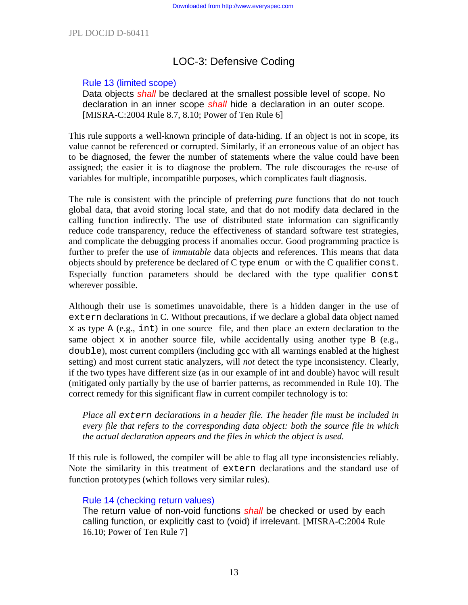# LOC-3: Defensive Coding

#### Rule 13 (limited scope)

Data objects *shall* be declared at the smallest possible level of scope. No declaration in an inner scope *shall* hide a declaration in an outer scope. [MISRA-C:2004 Rule 8.7, 8.10; Power of Ten Rule 6]

This rule supports a well-known principle of data-hiding. If an object is not in scope, its value cannot be referenced or corrupted. Similarly, if an erroneous value of an object has to be diagnosed, the fewer the number of statements where the value could have been assigned; the easier it is to diagnose the problem. The rule discourages the re-use of variables for multiple, incompatible purposes, which complicates fault diagnosis.

The rule is consistent with the principle of preferring *pure* functions that do not touch global data, that avoid storing local state, and that do not modify data declared in the calling function indirectly. The use of distributed state information can significantly reduce code transparency, reduce the effectiveness of standard software test strategies, and complicate the debugging process if anomalies occur. Good programming practice is further to prefer the use of *immutable* data objects and references. This means that data objects should by preference be declared of C type enum or with the C qualifier const. Especially function parameters should be declared with the type qualifier const wherever possible.

Although their use is sometimes unavoidable, there is a hidden danger in the use of extern declarations in C. Without precautions, if we declare a global data object named x as type A (e.g., int) in one source file, and then place an extern declaration to the same object  $x$  in another source file, while accidentally using another type  $B$  (e.g., double), most current compilers (including gcc with all warnings enabled at the highest setting) and most current static analyzers, will *not* detect the type inconsistency. Clearly, if the two types have different size (as in our example of int and double) havoc will result (mitigated only partially by the use of barrier patterns, as recommended in Rule 10). The correct remedy for this significant flaw in current compiler technology is to:

*Place all extern declarations in a header file. The header file must be included in every file that refers to the corresponding data object: both the source file in which the actual declaration appears and the files in which the object is used.* 

If this rule is followed, the compiler will be able to flag all type inconsistencies reliably. Note the similarity in this treatment of extern declarations and the standard use of function prototypes (which follows very similar rules).

## Rule 14 (checking return values)

The return value of non-void functions *shall* be checked or used by each calling function, or explicitly cast to (void) if irrelevant. [MISRA-C:2004 Rule 16.10; Power of Ten Rule 7]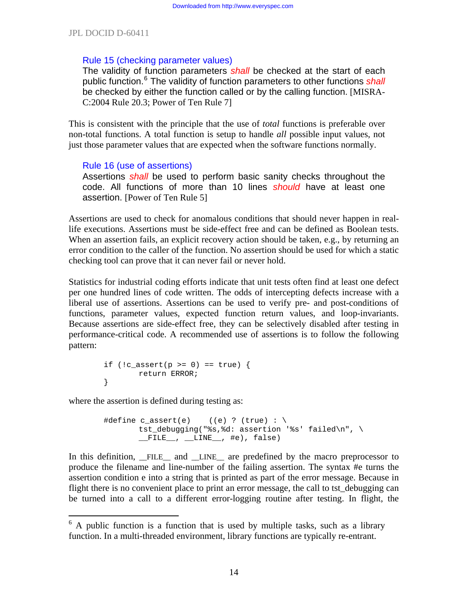#### Rule 15 (checking parameter values)

The validity of function parameters *shall* be checked at the start of each public function.<sup>[6](#page-13-0)</sup> The validity of function parameters to other functions *shall* be checked by either the function called or by the calling function. [MISRA-C:2004 Rule 20.3; Power of Ten Rule 7]

This is consistent with the principle that the use of *total* functions is preferable over non-total functions. A total function is setup to handle *all* possible input values, not just those parameter values that are expected when the software functions normally.

## Rule 16 (use of assertions)

Assertions *shall* be used to perform basic sanity checks throughout the code. All functions of more than 10 lines *should* have at least one assertion. [Power of Ten Rule 5]

Assertions are used to check for anomalous conditions that should never happen in reallife executions. Assertions must be side-effect free and can be defined as Boolean tests. When an assertion fails, an explicit recovery action should be taken, e.g., by returning an error condition to the caller of the function. No assertion should be used for which a static checking tool can prove that it can never fail or never hold.

Statistics for industrial coding efforts indicate that unit tests often find at least one defect per one hundred lines of code written. The odds of intercepting defects increase with a liberal use of assertions. Assertions can be used to verify pre- and post-conditions of functions, parameter values, expected function return values, and loop-invariants. Because assertions are side-effect free, they can be selectively disabled after testing in performance-critical code. A recommended use of assertions is to follow the following pattern:

$$
\begin{array}{lcl} \texttt{if } (!c\_assert(p >= 0) == true) {\; \{ } \\ \texttt{return ERROR} ; \end{array}
$$

where the assertion is defined during testing as:

 $\overline{a}$ 

```
#define c_assert(e) ((e) ? (true) : \
        tst_debugging("%s,%d: assertion '%s' failed\n", \ 
       _FILE_{...}, LINE_{...}, #e), false)
```
In this definition, \_\_FILE\_\_ and \_\_LINE\_\_ are predefined by the macro preprocessor to produce the filename and line-number of the failing assertion. The syntax #e turns the assertion condition e into a string that is printed as part of the error message. Because in flight there is no convenient place to print an error message, the call to tst debugging can be turned into a call to a different error-logging routine after testing. In flight, the

<span id="page-13-0"></span> $6$  A public function is a function that is used by multiple tasks, such as a library function. In a multi-threaded environment, library functions are typically re-entrant.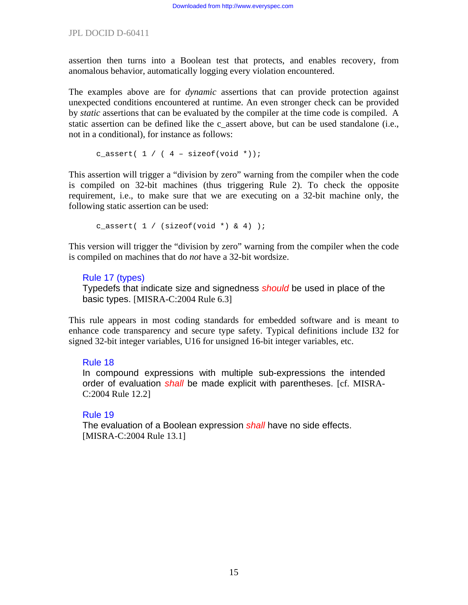assertion then turns into a Boolean test that protects, and enables recovery, from anomalous behavior, automatically logging every violation encountered.

The examples above are for *dynamic* assertions that can provide protection against unexpected conditions encountered at runtime. An even stronger check can be provided by *static* assertions that can be evaluated by the compiler at the time code is compiled. A static assertion can be defined like the c\_assert above, but can be used standalone (i.e., not in a conditional), for instance as follows:

c\_assert(  $1 / ( 4 - sizeof(void *));$ 

This assertion will trigger a "division by zero" warning from the compiler when the code is compiled on 32-bit machines (thus triggering Rule 2). To check the opposite requirement, i.e., to make sure that we are executing on a 32-bit machine only, the following static assertion can be used:

c assert(  $1 /$  (sizeof(void \*) & 4) );

This version will trigger the "division by zero" warning from the compiler when the code is compiled on machines that do *not* have a 32-bit wordsize.

# Rule 17 (types)

Typedefs that indicate size and signedness *should* be used in place of the basic types. [MISRA-C:2004 Rule 6.3]

This rule appears in most coding standards for embedded software and is meant to enhance code transparency and secure type safety. Typical definitions include I32 for signed 32-bit integer variables, U16 for unsigned 16-bit integer variables, etc.

## Rule 18

In compound expressions with multiple sub-expressions the intended order of evaluation *shall* be made explicit with parentheses. [cf. MISRA-C:2004 Rule 12.2]

## Rule 19

The evaluation of a Boolean expression *shall* have no side effects. [MISRA-C:2004 Rule 13.1]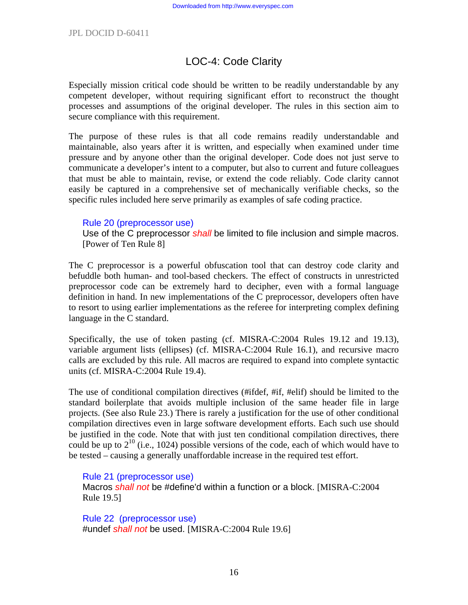# LOC-4: Code Clarity

Especially mission critical code should be written to be readily understandable by any competent developer, without requiring significant effort to reconstruct the thought processes and assumptions of the original developer. The rules in this section aim to secure compliance with this requirement.

The purpose of these rules is that all code remains readily understandable and maintainable, also years after it is written, and especially when examined under time pressure and by anyone other than the original developer. Code does not just serve to communicate a developer's intent to a computer, but also to current and future colleagues that must be able to maintain, revise, or extend the code reliably. Code clarity cannot easily be captured in a comprehensive set of mechanically verifiable checks, so the specific rules included here serve primarily as examples of safe coding practice.

#### Rule 20 (preprocessor use)

Use of the C preprocessor *shall* be limited to file inclusion and simple macros. [Power of Ten Rule 8]

The C preprocessor is a powerful obfuscation tool that can destroy code clarity and befuddle both human- and tool-based checkers. The effect of constructs in unrestricted preprocessor code can be extremely hard to decipher, even with a formal language definition in hand. In new implementations of the C preprocessor, developers often have to resort to using earlier implementations as the referee for interpreting complex defining language in the C standard.

Specifically, the use of token pasting (cf. MISRA-C:2004 Rules 19.12 and 19.13), variable argument lists (ellipses) (cf. MISRA-C:2004 Rule 16.1), and recursive macro calls are excluded by this rule. All macros are required to expand into complete syntactic units (cf. MISRA-C:2004 Rule 19.4).

The use of conditional compilation directives (#ifdef, #if, #elif) should be limited to the standard boilerplate that avoids multiple inclusion of the same header file in large projects. (See also Rule 23.) There is rarely a justification for the use of other conditional compilation directives even in large software development efforts. Each such use should be justified in the code. Note that with just ten conditional compilation directives, there could be up to  $2^{10}$  (i.e., 1024) possible versions of the code, each of which would have to be tested – causing a generally unaffordable increase in the required test effort.

#### Rule 21 (preprocessor use)

Macros *shall not* be #define'd within a function or a block. [MISRA-C:2004 Rule 19.5]

Rule 22 (preprocessor use) #undef *shall not* be used. [MISRA-C:2004 Rule 19.6]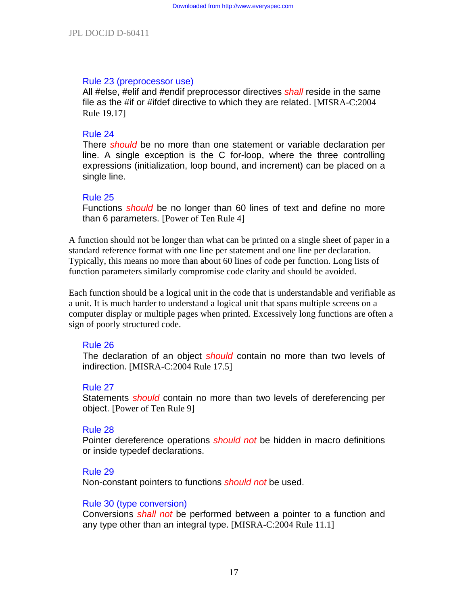#### Rule 23 (preprocessor use)

All #else, #elif and #endif preprocessor directives *shall* reside in the same file as the #if or #ifdef directive to which they are related. [MISRA-C:2004 Rule 19.17]

#### Rule 24

There *should* be no more than one statement or variable declaration per line. A single exception is the C for-loop, where the three controlling expressions (initialization, loop bound, and increment) can be placed on a single line.

#### Rule 25

Functions *should* be no longer than 60 lines of text and define no more than 6 parameters. [Power of Ten Rule 4]

A function should not be longer than what can be printed on a single sheet of paper in a standard reference format with one line per statement and one line per declaration. Typically, this means no more than about 60 lines of code per function. Long lists of function parameters similarly compromise code clarity and should be avoided.

Each function should be a logical unit in the code that is understandable and verifiable as a unit. It is much harder to understand a logical unit that spans multiple screens on a computer display or multiple pages when printed. Excessively long functions are often a sign of poorly structured code.

#### Rule 26

The declaration of an object *should* contain no more than two levels of indirection. [MISRA-C:2004 Rule 17.5]

#### Rule 27

Statements *should* contain no more than two levels of dereferencing per object. [Power of Ten Rule 9]

#### Rule 28

Pointer dereference operations *should not* be hidden in macro definitions or inside typedef declarations.

#### Rule 29

Non-constant pointers to functions *should not* be used.

#### Rule 30 (type conversion)

Conversions *shall not* be performed between a pointer to a function and any type other than an integral type. [MISRA-C:2004 Rule 11.1]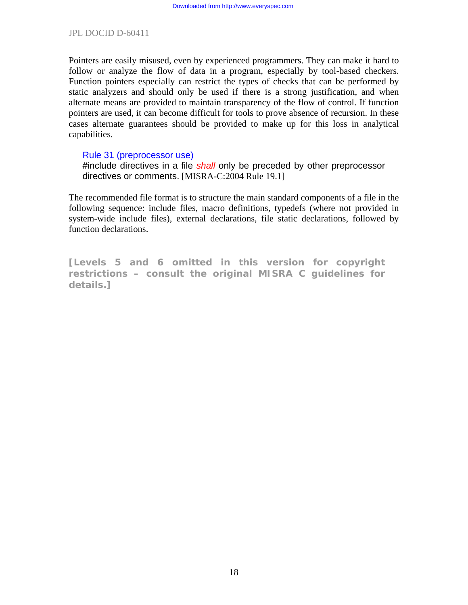Pointers are easily misused, even by experienced programmers. They can make it hard to follow or analyze the flow of data in a program, especially by tool-based checkers. Function pointers especially can restrict the types of checks that can be performed by static analyzers and should only be used if there is a strong justification, and when alternate means are provided to maintain transparency of the flow of control. If function pointers are used, it can become difficult for tools to prove absence of recursion. In these cases alternate guarantees should be provided to make up for this loss in analytical capabilities.

#### Rule 31 (preprocessor use)

#include directives in a file *shall* only be preceded by other preprocessor directives or comments. [MISRA-C:2004 Rule 19.1]

The recommended file format is to structure the main standard components of a file in the following sequence: include files, macro definitions, typedefs (where not provided in system-wide include files), external declarations, file static declarations, followed by function declarations.

**[Levels 5 and 6 omitted in this version for copyright restrictions – consult the original MISRA C guidelines for details.]**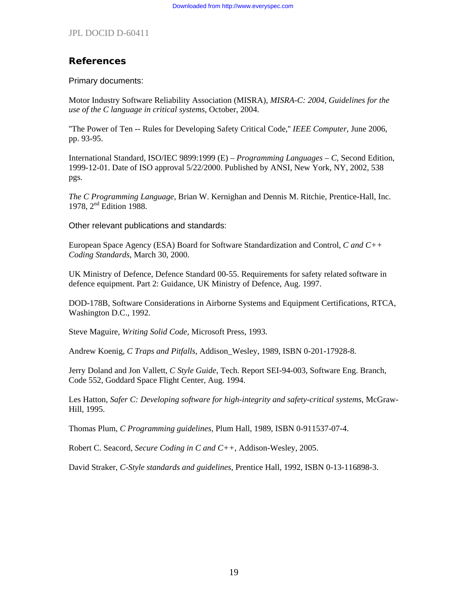# **References**

Primary documents:

Motor Industry Software Reliability Association (MISRA), *MISRA-C: 2004, Guidelines for the use of the C language in critical systems*, October, 2004.

''The Power of Ten -- Rules for Developing Safety Critical Code,'' *IEEE Computer*, June 2006, pp. 93-95.

International Standard, ISO/IEC 9899:1999 (E) – *Programming Languages – C*, Second Edition, 1999-12-01. Date of ISO approval 5/22/2000. Published by ANSI, New York, NY, 2002, 538 pgs.

*The C Programming Language*, Brian W. Kernighan and Dennis M. Ritchie, Prentice-Hall, Inc. 1978, 2<sup>nd</sup> Edition 1988.

Other relevant publications and standards:

European Space Agency (ESA) Board for Software Standardization and Control, *C and C++ Coding Standards*, March 30, 2000.

UK Ministry of Defence, Defence Standard 00-55. Requirements for safety related software in defence equipment. Part 2: Guidance, UK Ministry of Defence, Aug. 1997.

DOD-178B, Software Considerations in Airborne Systems and Equipment Certifications, RTCA, Washington D.C., 1992.

Steve Maguire, *Writing Solid Code*, Microsoft Press, 1993.

Andrew Koenig, *C Traps and Pitfalls*, Addison\_Wesley, 1989, ISBN 0-201-17928-8.

Jerry Doland and Jon Vallett, *C Style Guide*, Tech. Report SEI-94-003, Software Eng. Branch, Code 552, Goddard Space Flight Center, Aug. 1994.

Les Hatton, *Safer C: Developing software for high-integrity and safety-critical systems*, McGraw-Hill, 1995.

Thomas Plum, *C Programming guidelines*, Plum Hall, 1989, ISBN 0-911537-07-4.

Robert C. Seacord, *Secure Coding in C and C++*, Addison-Wesley, 2005.

David Straker, *C-Style standards and guidelines*, Prentice Hall, 1992, ISBN 0-13-116898-3.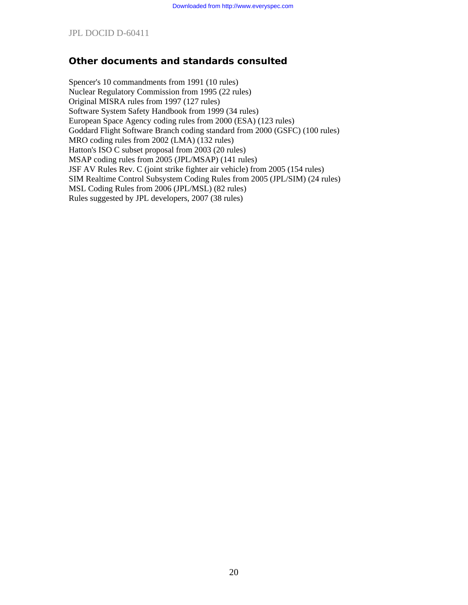# **Other documents and standards consulted**

Spencer's 10 commandments from 1991 (10 rules) Nuclear Regulatory Commission from 1995 (22 rules) Original MISRA rules from 1997 (127 rules) Software System Safety Handbook from 1999 (34 rules) European Space Agency coding rules from 2000 (ESA) (123 rules) Goddard Flight Software Branch coding standard from 2000 (GSFC) (100 rules) MRO coding rules from 2002 (LMA) (132 rules) Hatton's ISO C subset proposal from 2003 (20 rules) MSAP coding rules from 2005 (JPL/MSAP) (141 rules) JSF AV Rules Rev. C (joint strike fighter air vehicle) from 2005 (154 rules) SIM Realtime Control Subsystem Coding Rules from 2005 (JPL/SIM) (24 rules) MSL Coding Rules from 2006 (JPL/MSL) (82 rules) Rules suggested by JPL developers, 2007 (38 rules)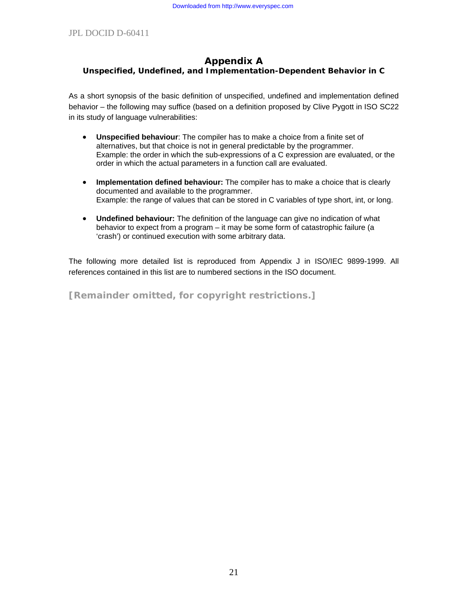#### **Appendix A Unspecified, Undefined, and Implementation-Dependent Behavior in C**

As a short synopsis of the basic definition of unspecified, undefined and implementation defined behavior – the following may suffice (based on a definition proposed by Clive Pygott in ISO SC22 in its study of language vulnerabilities:

- **Unspecified behaviour**: The compiler has to make a choice from a finite set of alternatives, but that choice is not in general predictable by the programmer. Example: the order in which the sub-expressions of a C expression are evaluated, or the order in which the actual parameters in a function call are evaluated.
- **Implementation defined behaviour:** The compiler has to make a choice that is clearly documented and available to the programmer. Example: the range of values that can be stored in C variables of type short, int, or long.
- **Undefined behaviour:** The definition of the language can give no indication of what behavior to expect from a program – it may be some form of catastrophic failure (a 'crash') or continued execution with some arbitrary data.

The following more detailed list is reproduced from Appendix J in ISO/IEC 9899-1999. All references contained in this list are to numbered sections in the ISO document.

**[Remainder omitted, for copyright restrictions.]**